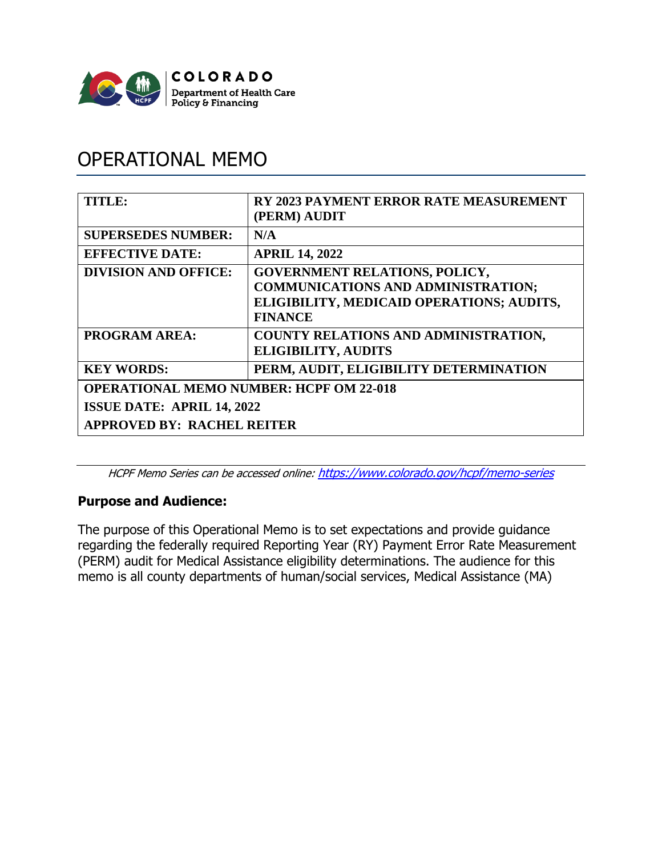

# OPERATIONAL MEMO

| <b>TITLE:</b>                                  | <b>RY 2023 PAYMENT ERROR RATE MEASUREMENT</b><br>(PERM) AUDIT                                                                                    |
|------------------------------------------------|--------------------------------------------------------------------------------------------------------------------------------------------------|
| <b>SUPERSEDES NUMBER:</b>                      | N/A                                                                                                                                              |
| <b>EFFECTIVE DATE:</b>                         | <b>APRIL 14, 2022</b>                                                                                                                            |
| <b>DIVISION AND OFFICE:</b>                    | <b>GOVERNMENT RELATIONS, POLICY,</b><br><b>COMMUNICATIONS AND ADMINISTRATION;</b><br>ELIGIBILITY, MEDICAID OPERATIONS; AUDITS,<br><b>FINANCE</b> |
| <b>PROGRAM AREA:</b>                           | <b>COUNTY RELATIONS AND ADMINISTRATION,</b><br><b>ELIGIBILITY, AUDITS</b>                                                                        |
| <b>KEY WORDS:</b>                              | PERM, AUDIT, ELIGIBILITY DETERMINATION                                                                                                           |
| <b>OPERATIONAL MEMO NUMBER: HCPF OM 22-018</b> |                                                                                                                                                  |
| <b>ISSUE DATE: APRIL 14, 2022</b>              |                                                                                                                                                  |
| <b>APPROVED BY: RACHEL REITER</b>              |                                                                                                                                                  |

HCPF Memo Series can be accessed online: <https://www.colorado.gov/hcpf/memo-series>

## **Purpose and Audience:**

The purpose of this Operational Memo is to set expectations and provide guidance regarding the federally required Reporting Year (RY) Payment Error Rate Measurement (PERM) audit for Medical Assistance eligibility determinations. The audience for this memo is all county departments of human/social services, Medical Assistance (MA)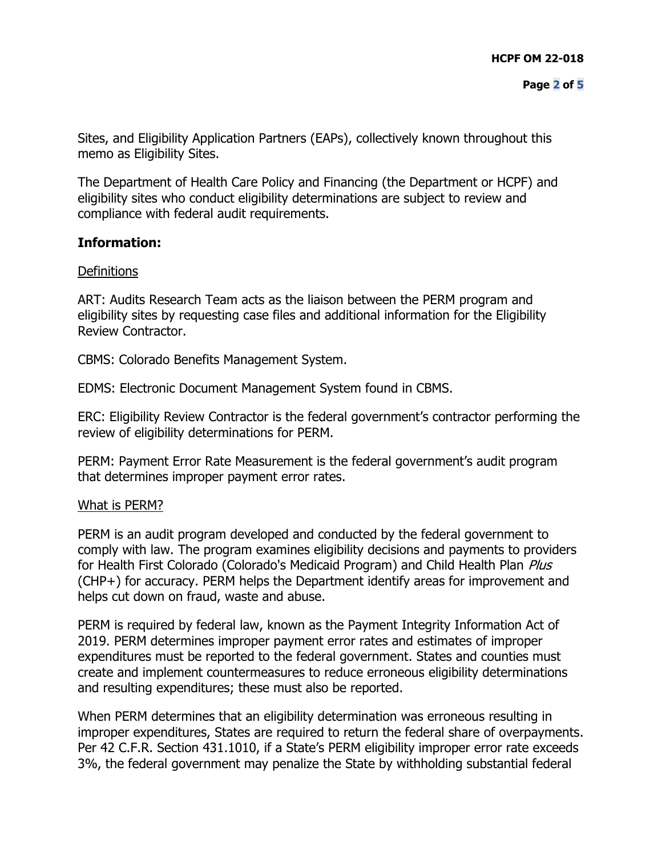Sites, and Eligibility Application Partners (EAPs), collectively known throughout this memo as Eligibility Sites.

The Department of Health Care Policy and Financing (the Department or HCPF) and eligibility sites who conduct eligibility determinations are subject to review and compliance with federal audit requirements.

## **Information:**

#### **Definitions**

ART: Audits Research Team acts as the liaison between the PERM program and eligibility sites by requesting case files and additional information for the Eligibility Review Contractor.

CBMS: Colorado Benefits Management System.

EDMS: Electronic Document Management System found in CBMS.

ERC: Eligibility Review Contractor is the federal government's contractor performing the review of eligibility determinations for PERM.

PERM: Payment Error Rate Measurement is the federal government's audit program that determines improper payment error rates.

#### What is PERM?

PERM is an audit program developed and conducted by the federal government to comply with law. The program examines eligibility decisions and payments to providers for Health First Colorado (Colorado's Medicaid Program) and Child Health Plan Plus (CHP+) for accuracy. PERM helps the Department identify areas for improvement and helps cut down on fraud, waste and abuse.

PERM is required by federal law, known as the Payment Integrity Information Act of 2019. PERM determines improper payment error rates and estimates of improper expenditures must be reported to the federal government. States and counties must create and implement countermeasures to reduce erroneous eligibility determinations and resulting expenditures; these must also be reported.

When PERM determines that an eligibility determination was erroneous resulting in improper expenditures, States are required to return the federal share of overpayments. Per 42 C.F.R. Section 431.1010, if a State's PERM eligibility improper error rate exceeds 3%, the federal government may penalize the State by withholding substantial federal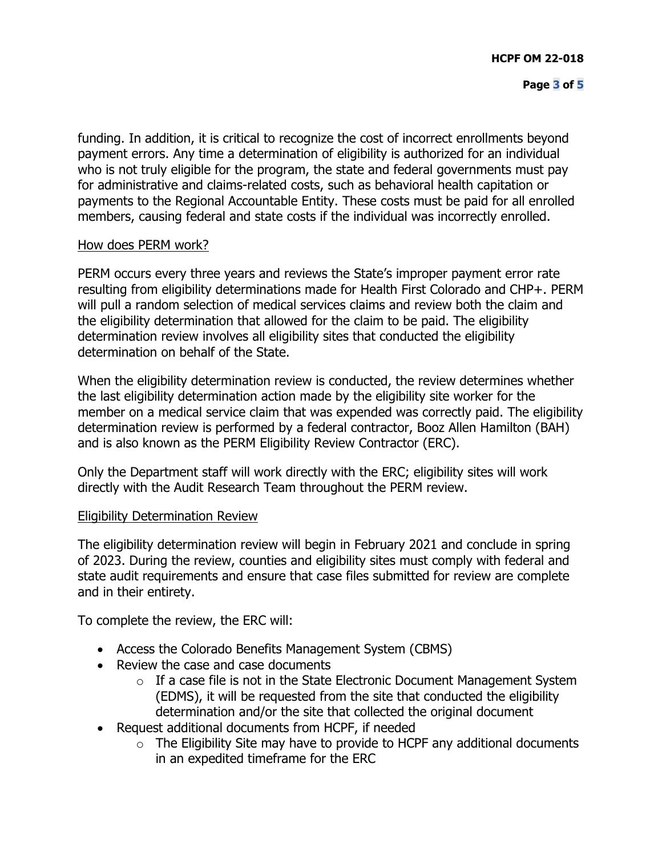funding. In addition, it is critical to recognize the cost of incorrect enrollments beyond payment errors. Any time a determination of eligibility is authorized for an individual who is not truly eligible for the program, the state and federal governments must pay for administrative and claims-related costs, such as behavioral health capitation or payments to the Regional Accountable Entity. These costs must be paid for all enrolled members, causing federal and state costs if the individual was incorrectly enrolled.

## How does PERM work?

PERM occurs every three years and reviews the State's improper payment error rate resulting from eligibility determinations made for Health First Colorado and CHP+. PERM will pull a random selection of medical services claims and review both the claim and the eligibility determination that allowed for the claim to be paid. The eligibility determination review involves all eligibility sites that conducted the eligibility determination on behalf of the State.

When the eligibility determination review is conducted, the review determines whether the last eligibility determination action made by the eligibility site worker for the member on a medical service claim that was expended was correctly paid. The eligibility determination review is performed by a federal contractor, Booz Allen Hamilton (BAH) and is also known as the PERM Eligibility Review Contractor (ERC).

Only the Department staff will work directly with the ERC; eligibility sites will work directly with the Audit Research Team throughout the PERM review.

#### Eligibility Determination Review

The eligibility determination review will begin in February 2021 and conclude in spring of 2023. During the review, counties and eligibility sites must comply with federal and state audit requirements and ensure that case files submitted for review are complete and in their entirety.

To complete the review, the ERC will:

- Access the Colorado Benefits Management System (CBMS)
- Review the case and case documents
	- $\circ$  If a case file is not in the State Electronic Document Management System (EDMS), it will be requested from the site that conducted the eligibility determination and/or the site that collected the original document
- Request additional documents from HCPF, if needed
	- $\circ$  The Eligibility Site may have to provide to HCPF any additional documents in an expedited timeframe for the ERC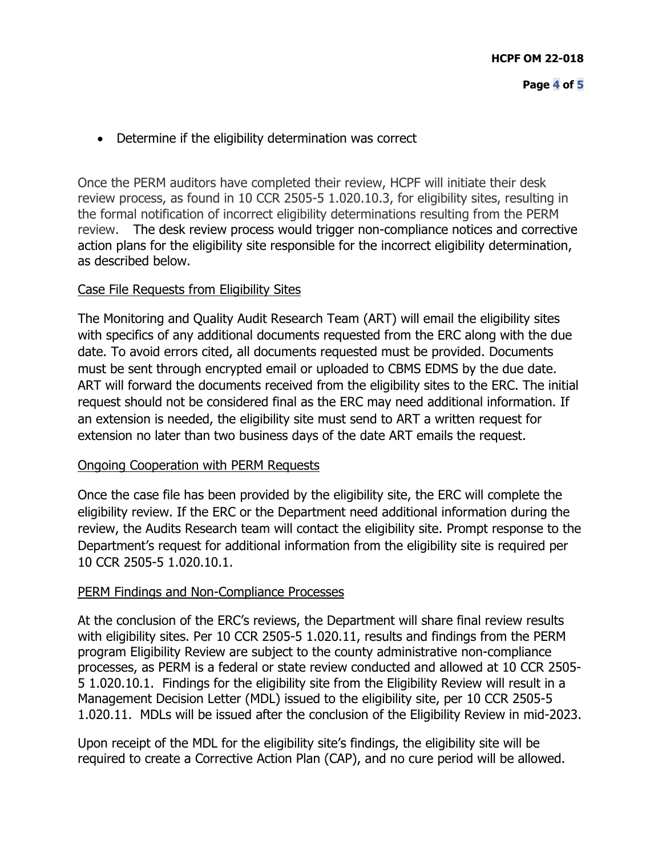• Determine if the eligibility determination was correct

Once the PERM auditors have completed their review, HCPF will initiate their desk review process, as found in 10 CCR 2505-5 1.020.10.3, for eligibility sites, resulting in the formal notification of incorrect eligibility determinations resulting from the PERM review. The desk review process would trigger non-compliance notices and corrective action plans for the eligibility site responsible for the incorrect eligibility determination, as described below.

#### Case File Requests from Eligibility Sites

The Monitoring and Quality Audit Research Team (ART) will email the eligibility sites with specifics of any additional documents requested from the ERC along with the due date. To avoid errors cited, all documents requested must be provided. Documents must be sent through encrypted email or uploaded to CBMS EDMS by the due date. ART will forward the documents received from the eligibility sites to the ERC. The initial request should not be considered final as the ERC may need additional information. If an extension is needed, the eligibility site must send to ART a written request for extension no later than two business days of the date ART emails the request.

#### Ongoing Cooperation with PERM Requests

Once the case file has been provided by the eligibility site, the ERC will complete the eligibility review. If the ERC or the Department need additional information during the review, the Audits Research team will contact the eligibility site. Prompt response to the Department's request for additional information from the eligibility site is required per 10 CCR 2505-5 1.020.10.1.

#### PERM Findings and Non-Compliance Processes

At the conclusion of the ERC's reviews, the Department will share final review results with eligibility sites. Per 10 CCR 2505-5 1.020.11, results and findings from the PERM program Eligibility Review are subject to the county administrative non-compliance processes, as PERM is a federal or state review conducted and allowed at 10 CCR 2505- 5 1.020.10.1. Findings for the eligibility site from the Eligibility Review will result in a Management Decision Letter (MDL) issued to the eligibility site, per 10 CCR 2505-5 1.020.11. MDLs will be issued after the conclusion of the Eligibility Review in mid-2023.

Upon receipt of the MDL for the eligibility site's findings, the eligibility site will be required to create a Corrective Action Plan (CAP), and no cure period will be allowed.